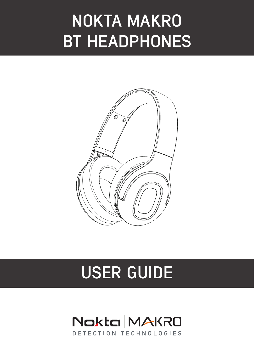# **NOKTA MAKRO BT HEADPHONES**



# **USER GUIDE**

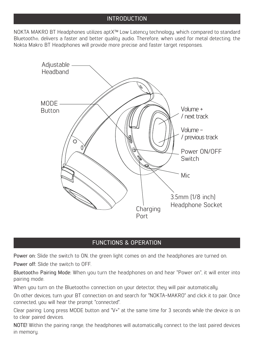#### INTRODUCTION

NOKTA MAKRO BT Headphones utilizes aptX™ Low Latency technology, which compared to standard Bluetooth®, delivers a faster and better quality audio. Therefore, when used for metal detecting, the Nokta Makro BT Headphones will provide more precise and faster target responses.



### FUNCTIONS & OPERATION

Power on: Slide the switch to ON, the green light comes on and the headphones are turned on. Power off: Slide the switch to OFF.

Bluetooth® Pairing Mode: When you turn the headphones on and hear "Power on", it will enter into pairing mode.

When you turn on the Bluetooth® connection on your detector, they will pair automatically.

On other devices, turn your BT connection on and search for "NOKTA-MAKRO" and click it to pair. Once connected, you will hear the prompt ''connected''.

Clear pairing: Long press MODE button and "V+" at the same time for 3 seconds while the device is on to clear paired devices.

NOTE! Within the pairing range, the headphones will automatically connect to the last paired devices in memory.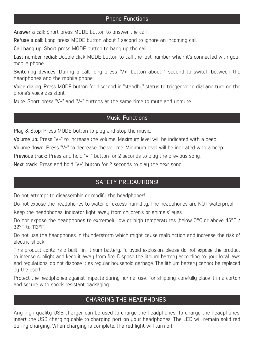Answer a call: Short press MODE button to answer the call.

Refuse a call: Long press MODE button about 1 second to ignore an incoming call.

Call hang up: Short press MODE button to hang up the call.

Last number redial: Double click MODE button to call the last number when it's connected with your mobile phone.

Switching devices: During a call, long press ''V+'' button about 1 second to switch between the headphones and the mobile phone.

Voice dialing: Press MODE button for 1 second in "standbu" status to trigger voice dial and turn on the phone's voice assistant.

Mute: Short press "V+" and "V-" buttons at the same time to mute and unmute.

#### Music Functions

Play & Stop: Press MODE button to play and stop the music.

Volume up: Press ''V+'' to increase the volume. Maximum level will be indicated with a beep.

Volume down: Press ''V-'' to decrease the volume. Minimum level will be indicated with a beep.

Previous track: Press and hold "V-" button for 2 seconds to play the previous song.

Next track: Press and hold "V+" button for 2 seconds to play the next song.

## SAFETY PRECAUTIONS!

Do not attempt to disassemble or modify the headphones!

Do not expose the headphones to water or excess humidity. The headphones are NOT waterproof.

Keep the headphones' indicator light away from children's or animals' eyes.

Do not expose the headphones to extremely low or high temperatures (below 0°C or above 45°C / 32°F to 113°F)

Do not use the headphones in thunderstorm which might cause malfunction and increase the risk of electric shock.

This product contains a built- in lithium battery. To avoid explosion, please do not expose the product to intense sunlight and keep it away from fire. Dispose the lithium battery according to your local laws and regulations, do not dispose it as regular household garbage. The lithium battery cannot be replaced by the user!

Protect the headphones against impacts during normal use. For shipping, carefully place it in a carton and secure with shock resistant packaging.

# CHARGING THE HEADPHONES

Any high quality USB charger can be used to charge the headphones. To charge the headphones, insert the USB charging cable to charging port on your headphones. The LED will remain solid red during charging. When charging is complete, the red light will turn off.